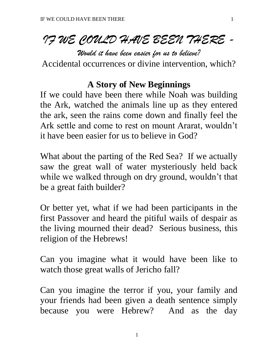# *IF WE COULD HAVE BEEN THERE -*

*Would it have been easier for us to believe?*

Accidental occurrences or divine intervention, which?

### **A Story of New Beginnings**

If we could have been there while Noah was building the Ark, watched the animals line up as they entered the ark, seen the rains come down and finally feel the Ark settle and come to rest on mount Ararat, wouldn't it have been easier for us to believe in God?

What about the parting of the Red Sea? If we actually saw the great wall of water mysteriously held back while we walked through on dry ground, wouldn't that be a great faith builder?

Or better yet, what if we had been participants in the first Passover and heard the pitiful wails of despair as the living mourned their dead? Serious business, this religion of the Hebrews!

Can you imagine what it would have been like to watch those great walls of Jericho fall?

Can you imagine the terror if you, your family and your friends had been given a death sentence simply because you were Hebrew? And as the day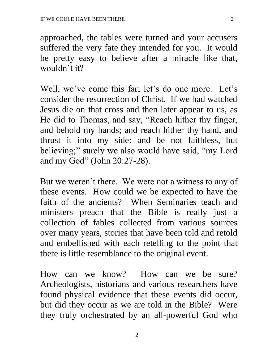approached, the tables were turned and your accusers suffered the very fate they intended for you. It would be pretty easy to believe after a miracle like that, wouldn't it?

Well, we've come this far; let's do one more. Let's consider the resurrection of Christ. If we had watched Jesus die on that cross and then later appear to us, as He did to Thomas, and say, "Reach hither thy finger, and behold my hands; and reach hither thy hand, and thrust it into my side: and be not faithless, but believing;" surely we also would have said, "my Lord and my God" (John 20:27-28).

But we weren't there. We were not a witness to any of these events. How could we be expected to have the faith of the ancients? When Seminaries teach and ministers preach that the Bible is really just a collection of fables collected from various sources over many years, stories that have been told and retold and embellished with each retelling to the point that there is little resemblance to the original event.

How can we know? How can we be sure? Archeologists, historians and various researchers have found physical evidence that these events did occur, but did they occur as we are told in the Bible? Were they truly orchestrated by an all-powerful God who

2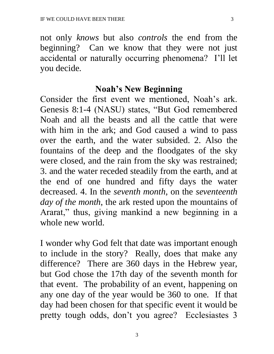not only *knows* but also *controls* the end from the beginning? Can we know that they were not just accidental or naturally occurring phenomena? I'll let you decide.

#### **Noah's New Beginning**

Consider the first event we mentioned, Noah's ark. Genesis 8:1-4 (NASU) states, "But God remembered Noah and all the beasts and all the cattle that were with him in the ark; and God caused a wind to pass over the earth, and the water subsided. 2. Also the fountains of the deep and the floodgates of the sky were closed, and the rain from the sky was restrained; 3. and the water receded steadily from the earth, and at the end of one hundred and fifty days the water decreased. 4. In the *seventh month*, on the *seventeenth day of the month*, the ark rested upon the mountains of Ararat," thus, giving mankind a new beginning in a whole new world.

I wonder why God felt that date was important enough to include in the story? Really, does that make any difference? There are 360 days in the Hebrew year, but God chose the 17th day of the seventh month for that event. The probability of an event, happening on any one day of the year would be 360 to one. If that day had been chosen for that specific event it would be pretty tough odds, don't you agree? Ecclesiastes 3

3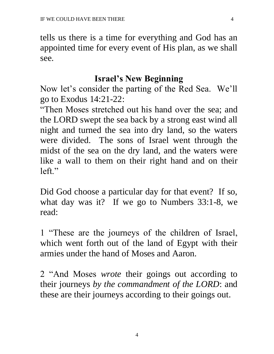tells us there is a time for everything and God has an appointed time for every event of His plan, as we shall see.

#### **Israel's New Beginning**

Now let's consider the parting of the Red Sea. We'll go to Exodus 14:21-22:

"Then Moses stretched out his hand over the sea; and the LORD swept the sea back by a strong east wind all night and turned the sea into dry land, so the waters were divided. The sons of Israel went through the midst of the sea on the dry land, and the waters were like a wall to them on their right hand and on their left."

Did God choose a particular day for that event? If so, what day was it? If we go to Numbers 33:1-8, we read:

1 "These are the journeys of the children of Israel, which went forth out of the land of Egypt with their armies under the hand of Moses and Aaron.

2 "And Moses *wrote* their goings out according to their journeys *by the commandment of the LORD*: and these are their journeys according to their goings out.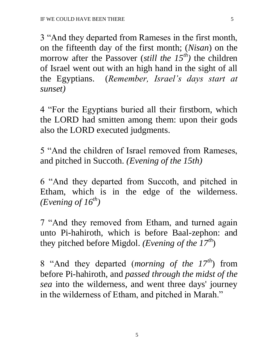3 "And they departed from Rameses in the first month, on the fifteenth day of the first month; (*Nisan*) on the morrow after the Passover (*still the 15th)* the children of Israel went out with an high hand in the sight of all the Egyptians. (*Remember, Israel's days start at sunset)* 

4 "For the Egyptians buried all their firstborn, which the LORD had smitten among them: upon their gods also the LORD executed judgments.

5 "And the children of Israel removed from Rameses, and pitched in Succoth. *(Evening of the 15th)*

6 "And they departed from Succoth, and pitched in Etham, which is in the edge of the wilderness. *(Evening of 16th)*

7 "And they removed from Etham, and turned again unto Pi-hahiroth, which is before Baal-zephon: and they pitched before Migdol. *(Evening of the 17th*)

8 "And they departed (*morning of the 17th*) from before Pi-hahiroth, and *passed through the midst of the sea* into the wilderness, and went three days' journey in the wilderness of Etham, and pitched in Marah."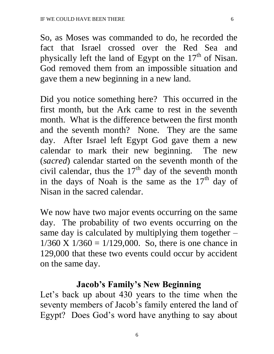So, as Moses was commanded to do, he recorded the fact that Israel crossed over the Red Sea and physically left the land of Egypt on the  $17<sup>th</sup>$  of Nisan. God removed them from an impossible situation and gave them a new beginning in a new land.

Did you notice something here? This occurred in the first month, but the Ark came to rest in the seventh month. What is the difference between the first month and the seventh month? None. They are the same day. After Israel left Egypt God gave them a new calendar to mark their new beginning. The new (*sacred*) calendar started on the seventh month of the civil calendar, thus the  $17<sup>th</sup>$  day of the seventh month in the days of Noah is the same as the  $17<sup>th</sup>$  day of Nisan in the sacred calendar.

We now have two major events occurring on the same day. The probability of two events occurring on the same day is calculated by multiplying them together  $1/360$  X  $1/360 = 1/129,000$ . So, there is one chance in 129,000 that these two events could occur by accident on the same day.

#### **Jacob's Family's New Beginning**

Let's back up about 430 years to the time when the seventy members of Jacob's family entered the land of Egypt? Does God's word have anything to say about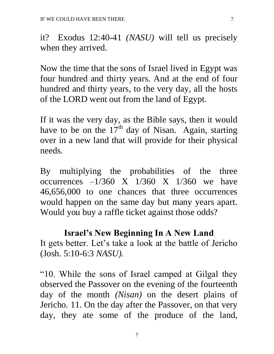it? Exodus 12:40-41 *(NASU)* will tell us precisely when they arrived.

Now the time that the sons of Israel lived in Egypt was four hundred and thirty years. And at the end of four hundred and thirty years, to the very day, all the hosts of the LORD went out from the land of Egypt.

If it was the very day, as the Bible says, then it would have to be on the  $17<sup>th</sup>$  day of Nisan. Again, starting over in a new land that will provide for their physical needs.

By multiplying the probabilities of the three occurrences  $-1/360$  X  $1/360$  X  $1/360$  we have 46,656,000 to one chances that three occurrences would happen on the same day but many years apart. Would you buy a raffle ticket against those odds?

#### **Israel's New Beginning In A New Land**

It gets better. Let's take a look at the battle of Jericho (Josh. 5:10-6:3 *NASU).*

"10. While the sons of Israel camped at Gilgal they observed the Passover on the evening of the fourteenth day of the month *(Nisan)* on the desert plains of Jericho. 11. On the day after the Passover, on that very day, they ate some of the produce of the land,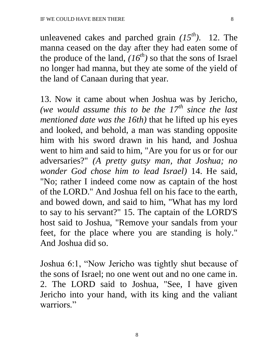unleavened cakes and parched grain *(15th).* 12. The manna ceased on the day after they had eaten some of the produce of the land,  $(16^{th})$  so that the sons of Israel no longer had manna, but they ate some of the yield of the land of Canaan during that year.

13. Now it came about when Joshua was by Jericho, *(we would assume this to be the 17th since the last mentioned date was the 16th)* that he lifted up his eyes and looked, and behold, a man was standing opposite him with his sword drawn in his hand, and Joshua went to him and said to him, "Are you for us or for our adversaries?" *(A pretty gutsy man, that Joshua; no wonder God chose him to lead Israel)* 14. He said, "No; rather I indeed come now as captain of the host of the LORD." And Joshua fell on his face to the earth, and bowed down, and said to him, "What has my lord to say to his servant?" 15. The captain of the LORD'S host said to Joshua, "Remove your sandals from your feet, for the place where you are standing is holy." And Joshua did so.

Joshua 6:1, "Now Jericho was tightly shut because of the sons of Israel; no one went out and no one came in. 2. The LORD said to Joshua, "See, I have given Jericho into your hand, with its king and the valiant warriors."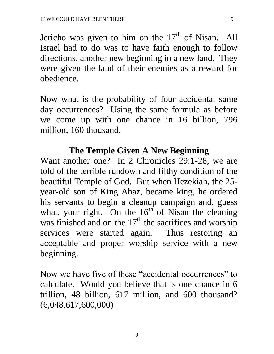Jericho was given to him on the  $17<sup>th</sup>$  of Nisan. All Israel had to do was to have faith enough to follow directions, another new beginning in a new land. They were given the land of their enemies as a reward for obedience.

Now what is the probability of four accidental same day occurrences? Using the same formula as before we come up with one chance in 16 billion, 796 million, 160 thousand.

#### **The Temple Given A New Beginning**

Want another one? In 2 Chronicles 29:1-28, we are told of the terrible rundown and filthy condition of the beautiful Temple of God. But when Hezekiah, the 25 year-old son of King Ahaz, became king, he ordered his servants to begin a cleanup campaign and, guess what, your right. On the  $16<sup>th</sup>$  of Nisan the cleaning was finished and on the  $17<sup>th</sup>$  the sacrifices and worship services were started again. Thus restoring an acceptable and proper worship service with a new beginning.

Now we have five of these "accidental occurrences" to calculate. Would you believe that is one chance in 6 trillion, 48 billion, 617 million, and 600 thousand? (6,048,617,600,000)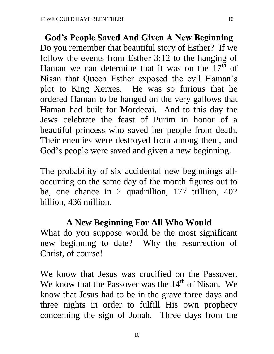**God's People Saved And Given A New Beginning** Do you remember that beautiful story of Esther? If we follow the events from Esther 3:12 to the hanging of Haman we can determine that it was on the  $17<sup>th</sup>$  of Nisan that Queen Esther exposed the evil Haman's plot to King Xerxes. He was so furious that he ordered Haman to be hanged on the very gallows that Haman had built for Mordecai. And to this day the Jews celebrate the feast of Purim in honor of a beautiful princess who saved her people from death. Their enemies were destroyed from among them, and God's people were saved and given a new beginning.

The probability of six accidental new beginnings alloccurring on the same day of the month figures out to be, one chance in 2 quadrillion, 177 trillion, 402 billion, 436 million.

## **A New Beginning For All Who Would**

What do you suppose would be the most significant new beginning to date? Why the resurrection of Christ, of course!

We know that Jesus was crucified on the Passover. We know that the Passover was the  $14<sup>th</sup>$  of Nisan. We know that Jesus had to be in the grave three days and three nights in order to fulfill His own prophecy concerning the sign of Jonah. Three days from the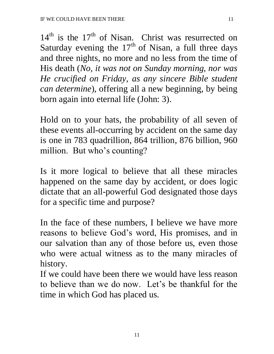$14<sup>th</sup>$  is the  $17<sup>th</sup>$  of Nisan. Christ was resurrected on Saturday evening the  $17<sup>th</sup>$  of Nisan, a full three days and three nights, no more and no less from the time of His death (*No, it was not on Sunday morning, nor was He crucified on Friday, as any sincere Bible student can determine*), offering all a new beginning, by being born again into eternal life (John: 3).

Hold on to your hats, the probability of all seven of these events all-occurring by accident on the same day is one in 783 quadrillion, 864 trillion, 876 billion, 960 million. But who's counting?

Is it more logical to believe that all these miracles happened on the same day by accident, or does logic dictate that an all-powerful God designated those days for a specific time and purpose?

In the face of these numbers, I believe we have more reasons to believe God's word, His promises, and in our salvation than any of those before us, even those who were actual witness as to the many miracles of history.

If we could have been there we would have less reason to believe than we do now. Let's be thankful for the time in which God has placed us.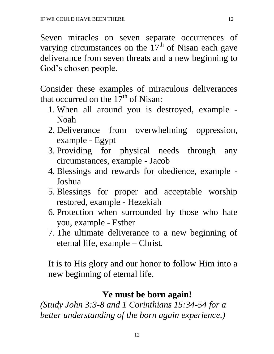Seven miracles on seven separate occurrences of varying circumstances on the  $17<sup>th</sup>$  of Nisan each gave deliverance from seven threats and a new beginning to God's chosen people.

Consider these examples of miraculous deliverances that occurred on the  $17<sup>th</sup>$  of Nisan:

- 1. When all around you is destroyed, example Noah
- 2. Deliverance from overwhelming oppression, example - Egypt
- 3. Providing for physical needs through any circumstances, example - Jacob
- 4. Blessings and rewards for obedience, example Joshua
- 5. Blessings for proper and acceptable worship restored, example - Hezekiah
- 6. Protection when surrounded by those who hate you, example - Esther
- 7. The ultimate deliverance to a new beginning of eternal life, example – Christ.

It is to His glory and our honor to follow Him into a new beginning of eternal life.

## **Ye must be born again!**

*(Study John 3:3-8 and 1 Corinthians 15:34-54 for a better understanding of the born again experience.)*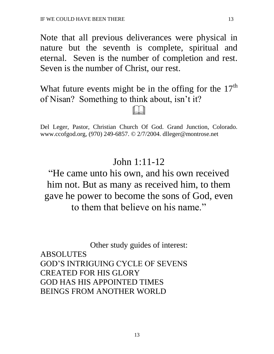Note that all previous deliverances were physical in nature but the seventh is complete, spiritual and eternal. Seven is the number of completion and rest. Seven is the number of Christ, our rest.

What future events might be in the offing for the  $17<sup>th</sup>$ of Nisan? Something to think about, isn't it?

 $\Box$ 

Del Leger, Pastor, Christian Church Of God. Grand Junction, Colorado. www.ccofgod.org, (970) 249-6857. © 2/7/2004. dlleger@montrose.net

## John 1:11-12

# "He came unto his own, and his own received him not. But as many as received him, to them gave he power to become the sons of God, even to them that believe on his name."

Other study guides of interest: ABSOLUTES GOD'S INTRIGUING CYCLE OF SEVENS CREATED FOR HIS GLORY GOD HAS HIS APPOINTED TIMES BEINGS FROM ANOTHER WORLD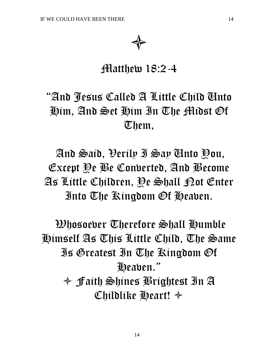

# Matthew 18:2-4

# "And Jesus Called A Little Child Unto Him, And Set Him In The Midst Of Them,

And Said, Verily I Say Unto You, Except Ye Be Converted, And Become As Little Children, Ye Shall Not Enter Into The Kingdom Of Heaven.

Whosoever Therefore Shall Humble Himself As This Little Child, The Same Is Greatest In The Kingdom Of Heaven."  $\triangleq$  Faith Shines Prightest In A Childlike Heart!  $\triangleleft$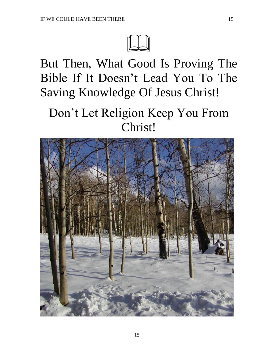

But Then, What Good Is Proving The Bible If It Doesn't Lead You To The Saving Knowledge Of Jesus Christ!

# Don't Let Religion Keep You From Christ!